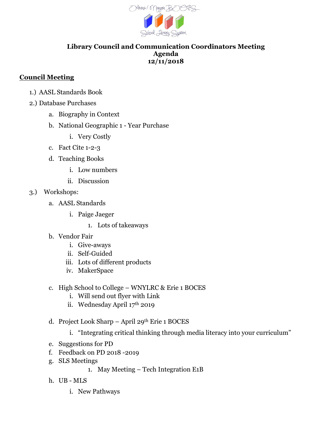

## **Library Council and Communication Coordinators Meeting Agenda 12/11/2018**

## **Council Meeting**

- 1.) AASL Standards Book
- 2.) Database Purchases
	- a. Biography in Context
	- b. National Geographic 1 Year Purchase
		- i. Very Costly
	- c. Fact Cite 1-2-3
	- d. Teaching Books
		- i. Low numbers
		- ii. Discussion
- 3.) Workshops:
	- a. AASL Standards
		- i. Paige Jaeger
			- 1. Lots of takeaways
	- b. Vendor Fair
		- i. Give-aways
		- ii. Self-Guided
		- iii. Lots of different products
		- iv. MakerSpace
	- c. High School to College WNYLRC & Erie 1 BOCES
		- i. Will send out flyer with Link
		- ii. Wednesday April 17th 2019
	- d. Project Look Sharp April 29th Erie 1 BOCES
		- i. "Integrating critical thinking through media literacy into your curriculum"
	- e. Suggestions for PD
	- f. Feedback on PD 2018 -2019
	- g. SLS Meetings
		- 1. May Meeting Tech Integration E1B
	- h. UB MLS
		- i. New Pathways